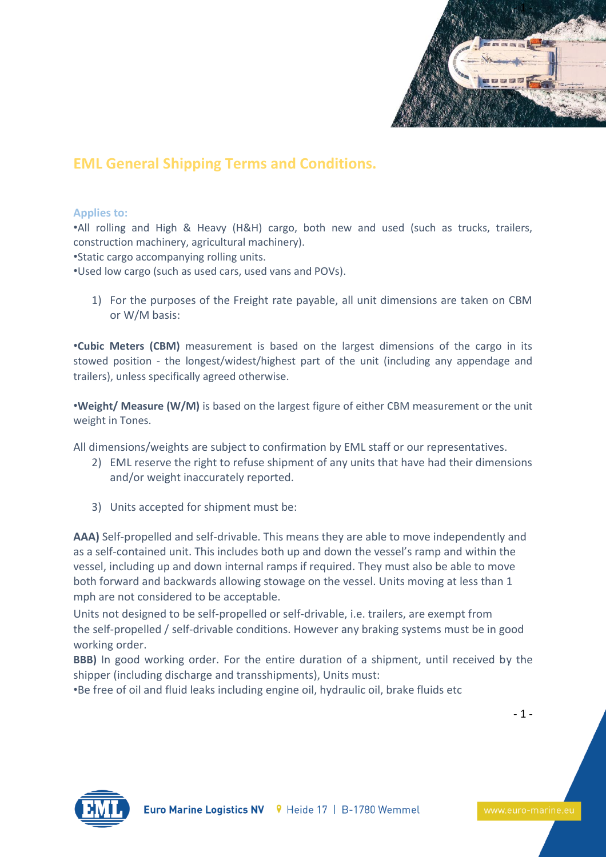

## **EML General Shipping Terms and Conditions.**

## **Applies to:**

•All rolling and High & Heavy (H&H) cargo, both new and used (such as trucks, trailers, construction machinery, agricultural machinery).

•Static cargo accompanying rolling units.

•Used low cargo (such as used cars, used vans and POVs).

1) For the purposes of the Freight rate payable, all unit dimensions are taken on CBM or W/M basis:

•**Cubic Meters (CBM)** measurement is based on the largest dimensions of the cargo in its stowed position - the longest/widest/highest part of the unit (including any appendage and trailers), unless specifically agreed otherwise.

•**Weight/ Measure (W/M)** is based on the largest figure of either CBM measurement or the unit weight in Tones.

All dimensions/weights are subject to confirmation by EML staff or our representatives.

- 2) EML reserve the right to refuse shipment of any units that have had their dimensions and/or weight inaccurately reported.
- 3) Units accepted for shipment must be:

**AAA)** Self-propelled and self-drivable. This means they are able to move independently and as a self-contained unit. This includes both up and down the vessel's ramp and within the vessel, including up and down internal ramps if required. They must also be able to move both forward and backwards allowing stowage on the vessel. Units moving at less than 1 mph are not considered to be acceptable.

Units not designed to be self-propelled or self-drivable, i.e. trailers, are exempt from the self-propelled / self-drivable conditions. However any braking systems must be in good working order.

**BBB)** In good working order. For the entire duration of a shipment, until received by the shipper (including discharge and transshipments), Units must:

•Be free of oil and fluid leaks including engine oil, hydraulic oil, brake fluids etc



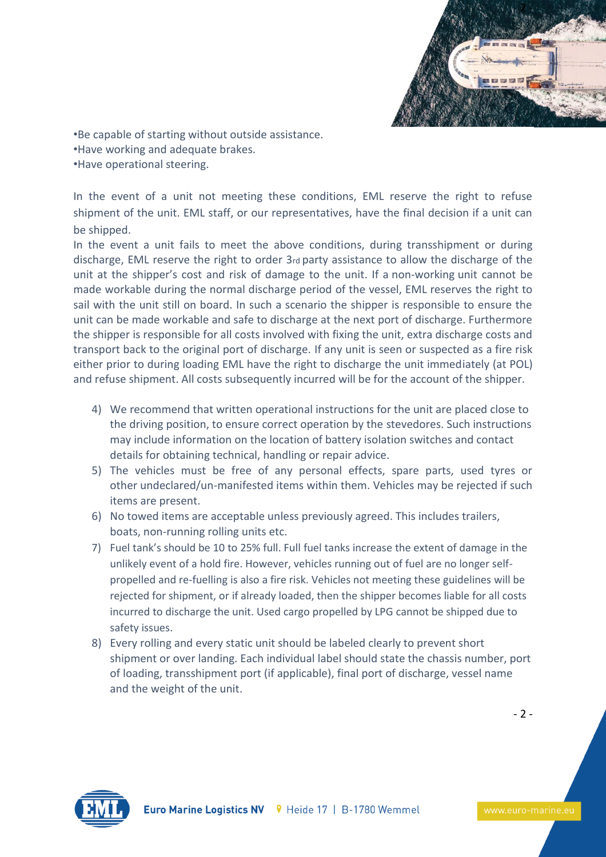

•Be capable of starting without outside assistance. •Have working and adequate brakes. •Have operational steering.

In the event of a unit not meeting these conditions, EML reserve the right to refuse shipment of the unit. EML staff, or our representatives, have the final decision if a unit can be shipped.

In the event a unit fails to meet the above conditions, during transshipment or during discharge, EML reserve the right to order 3rd party assistance to allow the discharge of the unit at the shipper's cost and risk of damage to the unit. If a non-working unit cannot be made workable during the normal discharge period of the vessel, EML reserves the right to sail with the unit still on board. In such a scenario the shipper is responsible to ensure the unit can be made workable and safe to discharge at the next port of discharge. Furthermore the shipper is responsible for all costs involved with fixing the unit, extra discharge costs and transport back to the original port of discharge. If any unit is seen or suspected as a fire risk either prior to during loading EML have the right to discharge the unit immediately (at POL) and refuse shipment. All costs subsequently incurred will be for the account of the shipper.

- 4) We recommend that written operational instructions for the unit are placed close to the driving position, to ensure correct operation by the stevedores. Such instructions may include information on the location of battery isolation switches and contact details for obtaining technical, handling or repair advice.
- 5) The vehicles must be free of any personal effects, spare parts, used tyres or other undeclared/un-manifested items within them. Vehicles may be rejected if such items are present.
- 6) No towed items are acceptable unless previously agreed. This includes trailers, boats, non-running rolling units etc.
- 7) Fuel tank's should be 10 to 25% full. Full fuel tanks increase the extent of damage in the unlikely event of a hold fire. However, vehicles running out of fuel are no longer selfpropelled and re-fuelling is also a fire risk. Vehicles not meeting these guidelines will be rejected for shipment, or if already loaded, then the shipper becomes liable for all costs incurred to discharge the unit. Used cargo propelled by LPG cannot be shipped due to safety issues.
- 8) Every rolling and every static unit should be labeled clearly to prevent short shipment or over landing. Each individual label should state the chassis number, port of loading, transshipment port (if applicable), final port of discharge, vessel name and the weight of the unit.